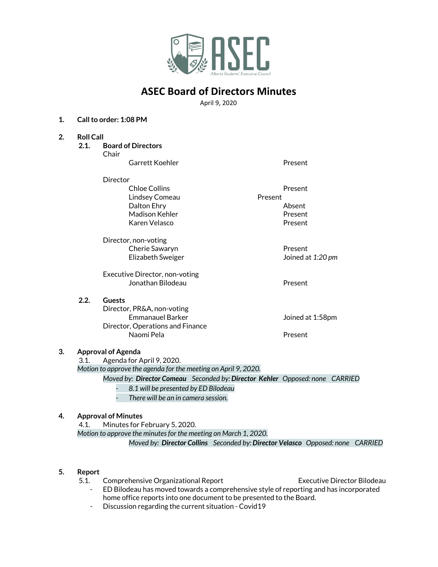

## **ASEC Board of Directors Minutes**

April 9, 2020

#### **1. Callto order: 1:08 PM**

- **2. Roll Call**
	- **2.1. Board of Directors**

Chair Garrett Koehler Present

| QUI CLL INCLIICI | <b>FICSCIIL</b> |
|------------------|-----------------|
| Director         |                 |
| Chloe Collins    | Present         |
| Lindsey Comeau   | Present         |
| Dalton Ehry      | Absent          |
| Madison Kehler   | Present         |
| Karen Velasco    | Present         |

Director, non-voting Cherie Sawaryn **Present** Elizabeth Sweiger Joined at *1:20 pm*

Executive Director, non-voting Jonathan Bilodeau Present

### **2.2. Guests**

Director, PR&A, non-voting Emmanauel Barker Government at 1:58pm Director, Operations and Finance Naomi Pela **Present** 

**3. Approval of Agenda**

3.1. Agenda for April 9, 2020.

*Motion to approve the agenda for the meeting on April 9, 2020.*

*Moved by: Director Comeau Seconded by: Director Kehler Opposed: none CARRIED*

*- 8.1 will be presented by ED Bilodeau*

*- There will be an in camera session.*

## **4. Approval of Minutes**

4.1. Minutes for February 5, 2020. *Motion to approve the minutesfor the meeting on March 1, 2020. Moved by: Director Collins Seconded by: Director Velasco Opposed: none CARRIED*

### **5. Report**

- 5.1. Comprehensive Organizational Report Executive Director Bilodeau
	- ED Bilodeau has moved towards a comprehensive style of reporting and has incorporated home office reports into one document to be presented to the Board.
	- Discussion regarding the current situation Covid19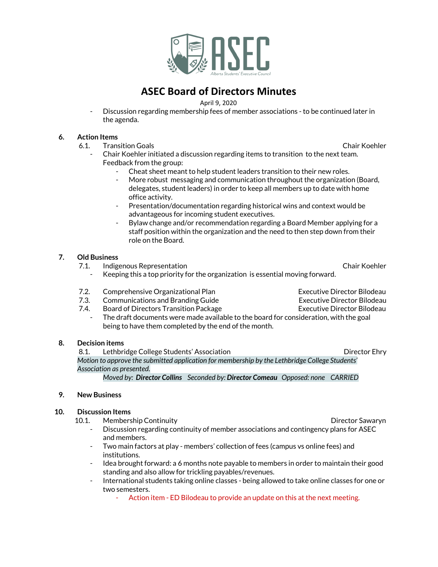

# **ASEC Board of Directors Minutes**

April 9, 2020

Discussion regarding membership fees of member associations - to be continued later in the agenda.

#### **6. Action Items**

6.1. Transition Goals Chair Koehler

- Chair Koehler initiated a discussion regarding items to transition to the next team. Feedback from the group:
	- Cheat sheet meant to help student leaders transition to their new roles.
	- More robust messaging and communication throughout the organization (Board, delegates, student leaders) in order to keep all members up to date with home office activity.
	- Presentation/documentation regarding historical wins and context would be advantageous for incoming student executives.
	- Bylaw change and/or recommendation regarding a Board Member applying for a staff position within the organization and the need to then step down from their role on the Board.

#### **7. Old Business**

- 7.1. Indigenous Representation Chair Koehler
	- Keeping this a top priority for the organization is essential moving forward.
- 7.2. Comprehensive Organizational Plan Executive Director Bilodeau
- 7.3. Communications and Branding Guide **Executive Director Bilodeau**
- 7.4. Board of Directors Transition Package Executive Director Bilodeau
	- The draft documents were made available to the board for consideration, with the goal being to have them completed by the end of the month.

#### **8. Decision items**

8.1. Lethbridge College Students' Association **Director Enrich College Students'** Association *Motion to approve the submitted application for membership by the Lethbridge College Students' Association as presented. Moved by: Director Collins Seconded by: Director Comeau Opposed: none CARRIED*

#### **9. New Business**

#### **10. Discussion Items**

- 10.1. Membership Continuity Director Sawaryn
	- Discussion regarding continuity of member associations and contingency plans for ASEC and members.
	- Two main factors at play members' collection of fees (campus vs online fees) and institutions.
	- Idea brought forward: a 6 months note payable to members in order to maintain their good standing and also allow for trickling payables/revenues.
	- International students taking online classes being allowed to take online classes for one or two semesters.
		- Action item ED Bilodeau to provide an update on this at the next meeting.